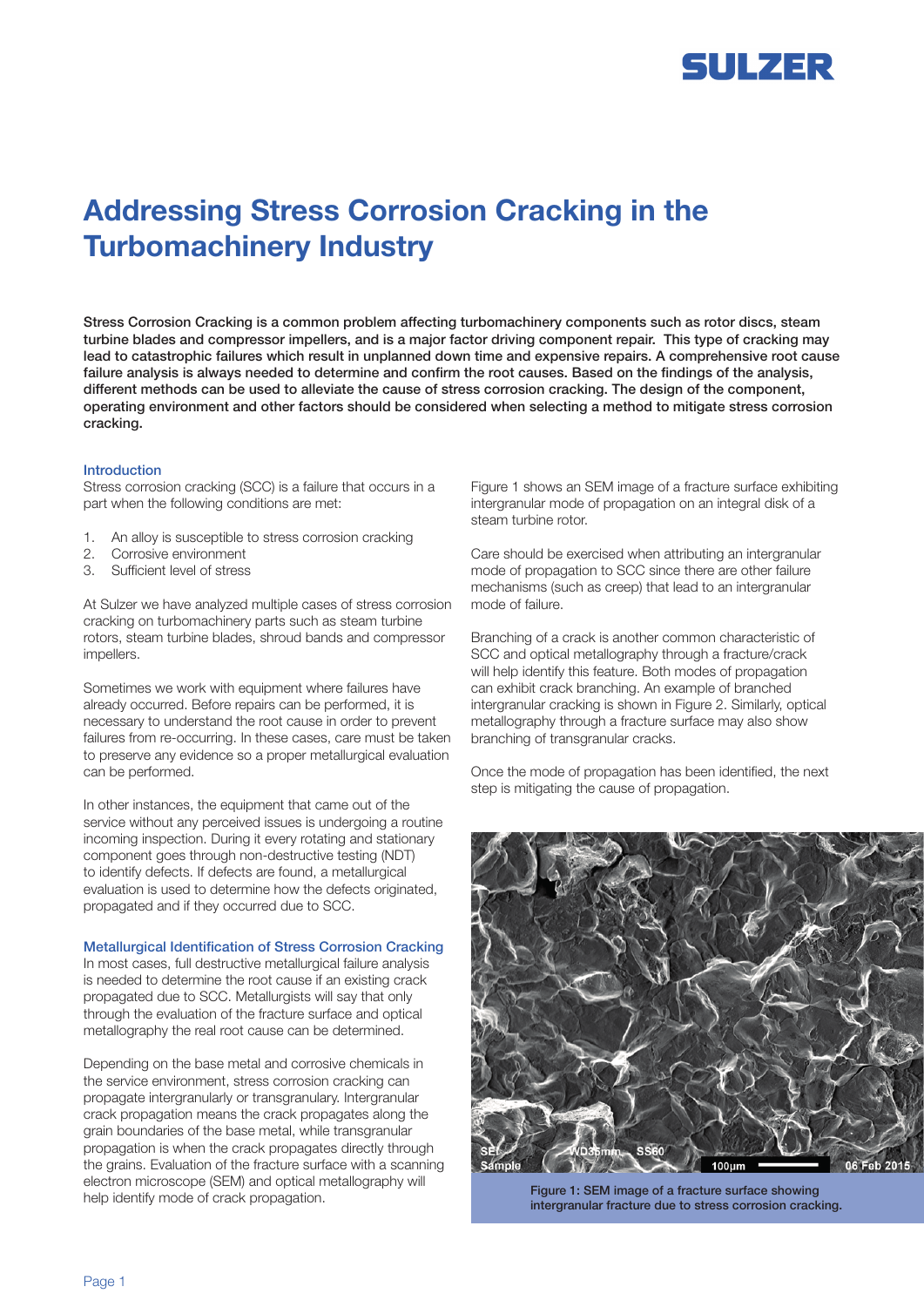

# Addressing Stress Corrosion Cracking in the Turbomachinery Industry

Stress Corrosion Cracking is a common problem affecting turbomachinery components such as rotor discs, steam turbine blades and compressor impellers, and is a major factor driving component repair. This type of cracking may lead to catastrophic failures which result in unplanned down time and expensive repairs. A comprehensive root cause failure analysis is always needed to determine and confirm the root causes. Based on the findings of the analysis, different methods can be used to alleviate the cause of stress corrosion cracking. The design of the component, operating environment and other factors should be considered when selecting a method to mitigate stress corrosion cracking.

## Introduction

Stress corrosion cracking (SCC) is a failure that occurs in a part when the following conditions are met:

- 1. An alloy is susceptible to stress corrosion cracking
- 2. Corrosive environment
- 3. Sufficient level of stress

At Sulzer we have analyzed multiple cases of stress corrosion cracking on turbomachinery parts such as steam turbine rotors, steam turbine blades, shroud bands and compressor impellers.

Sometimes we work with equipment where failures have already occurred. Before repairs can be performed, it is necessary to understand the root cause in order to prevent failures from re-occurring. In these cases, care must be taken to preserve any evidence so a proper metallurgical evaluation can be performed.

In other instances, the equipment that came out of the service without any perceived issues is undergoing a routine incoming inspection. During it every rotating and stationary component goes through non-destructive testing (NDT) to identify defects. If defects are found, a metallurgical evaluation is used to determine how the defects originated, propagated and if they occurred due to SCC.

### Metallurgical Identification of Stress Corrosion Cracking

In most cases, full destructive metallurgical failure analysis is needed to determine the root cause if an existing crack propagated due to SCC. Metallurgists will say that only through the evaluation of the fracture surface and optical metallography the real root cause can be determined.

Depending on the base metal and corrosive chemicals in the service environment, stress corrosion cracking can propagate intergranularly or transgranulary. Intergranular crack propagation means the crack propagates along the grain boundaries of the base metal, while transgranular propagation is when the crack propagates directly through the grains. Evaluation of the fracture surface with a scanning electron microscope (SEM) and optical metallography will help identify mode of crack propagation.

Figure 1 shows an SEM image of a fracture surface exhibiting intergranular mode of propagation on an integral disk of a steam turbine rotor.

Care should be exercised when attributing an intergranular mode of propagation to SCC since there are other failure mechanisms (such as creep) that lead to an intergranular mode of failure.

Branching of a crack is another common characteristic of SCC and optical metallography through a fracture/crack will help identify this feature. Both modes of propagation can exhibit crack branching. An example of branched intergranular cracking is shown in Figure 2. Similarly, optical metallography through a fracture surface may also show branching of transgranular cracks.

Once the mode of propagation has been identified, the next step is mitigating the cause of propagation.



Figure 1: SEM image of a fracture surface showing intergranular fracture due to stress corrosion cracking.